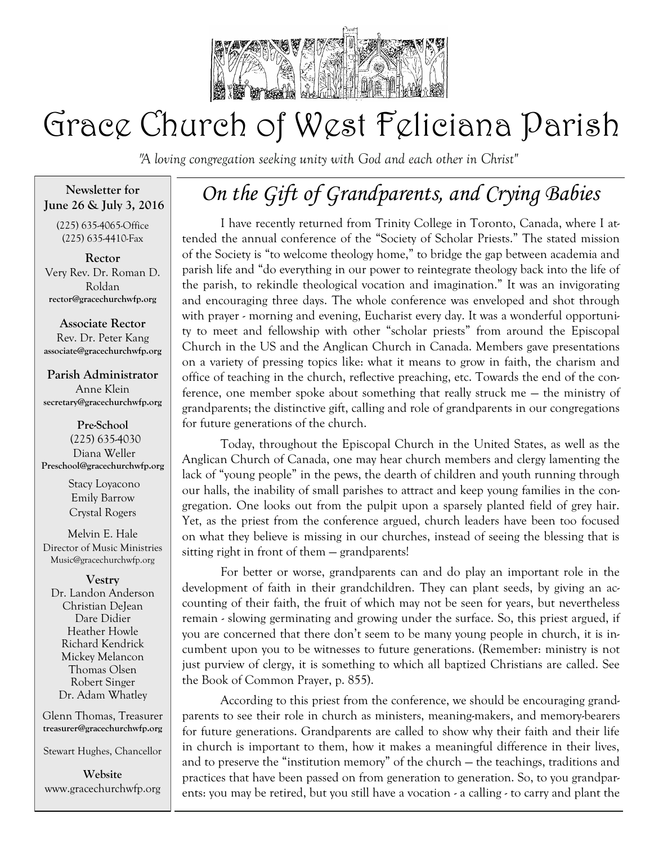

# Grace Church of West Feliciana Parish

*"A loving congregation seeking unity with God and each other in Christ"* 

**Newsletter for June 26 & July 3, 2016**

(225) 635-4065-Office (225) 635-4410-Fax

**Rector** Very Rev. Dr. Roman D. Roldan **rector@gracechurchwfp.org**

**Associate Rector** Rev. Dr. Peter Kang **associate@gracechurchwfp.org**

**Parish Administrator** Anne Klein **secretary@gracechurchwfp.org**

**Pre-School** (225) 635-4030 Diana Weller **Preschool@gracechurchwfp.org** 

> Stacy Loyacono Emily Barrow Crystal Rogers

Melvin E. Hale Director of Music Ministries Music@gracechurchwfp.org

### **Vestry**

Dr. Landon Anderson Christian DeJean Dare Didier Heather Howle Richard Kendrick Mickey Melancon Thomas Olsen Robert Singer Dr. Adam Whatley

Glenn Thomas, Treasurer **treasurer@gracechurchwfp.org**

Stewart Hughes, Chancellor

**Website**  www.gracechurchwfp.org

## *On the Gift of Grandparents, and Crying Babies*

I have recently returned from Trinity College in Toronto, Canada, where I attended the annual conference of the "Society of Scholar Priests." The stated mission of the Society is "to welcome theology home," to bridge the gap between academia and parish life and "do everything in our power to reintegrate theology back into the life of the parish, to rekindle theological vocation and imagination." It was an invigorating and encouraging three days. The whole conference was enveloped and shot through with prayer - morning and evening, Eucharist every day. It was a wonderful opportunity to meet and fellowship with other "scholar priests" from around the Episcopal Church in the US and the Anglican Church in Canada. Members gave presentations on a variety of pressing topics like: what it means to grow in faith, the charism and office of teaching in the church, reflective preaching, etc. Towards the end of the conference, one member spoke about something that really struck me — the ministry of grandparents; the distinctive gift, calling and role of grandparents in our congregations for future generations of the church.

Today, throughout the Episcopal Church in the United States, as well as the Anglican Church of Canada, one may hear church members and clergy lamenting the lack of "young people" in the pews, the dearth of children and youth running through our halls, the inability of small parishes to attract and keep young families in the congregation. One looks out from the pulpit upon a sparsely planted field of grey hair. Yet, as the priest from the conference argued, church leaders have been too focused on what they believe is missing in our churches, instead of seeing the blessing that is sitting right in front of them — grandparents!

For better or worse, grandparents can and do play an important role in the development of faith in their grandchildren. They can plant seeds, by giving an accounting of their faith, the fruit of which may not be seen for years, but nevertheless remain - slowing germinating and growing under the surface. So, this priest argued, if you are concerned that there don't seem to be many young people in church, it is incumbent upon you to be witnesses to future generations. (Remember: ministry is not just purview of clergy, it is something to which all baptized Christians are called. See the Book of Common Prayer, p. 855).

According to this priest from the conference, we should be encouraging grandparents to see their role in church as ministers, meaning-makers, and memory-bearers for future generations. Grandparents are called to show why their faith and their life in church is important to them, how it makes a meaningful difference in their lives, and to preserve the "institution memory" of the church — the teachings, traditions and practices that have been passed on from generation to generation. So, to you grandparents: you may be retired, but you still have a vocation - a calling - to carry and plant the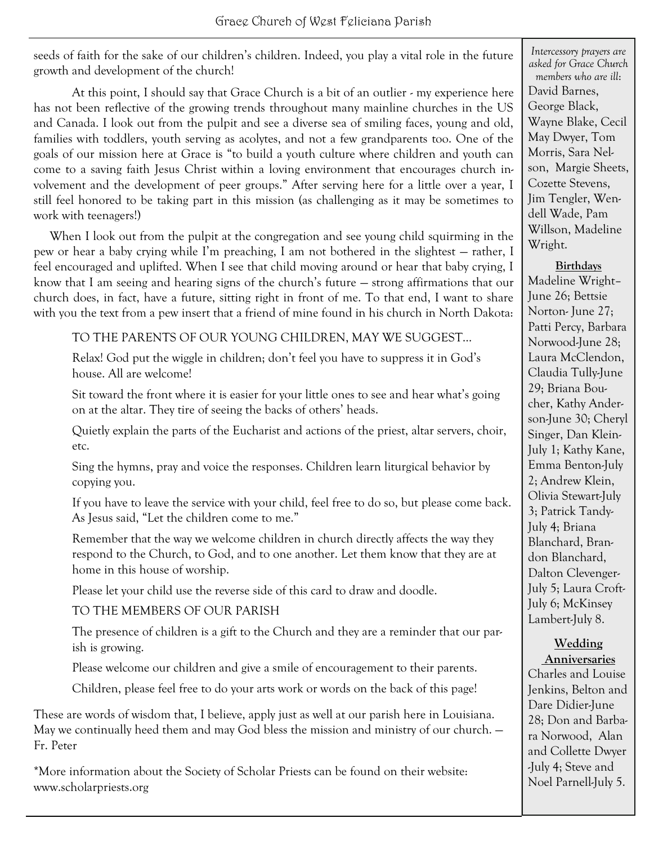seeds of faith for the sake of our children's children. Indeed, you play a vital role in the future growth and development of the church!

At this point, I should say that Grace Church is a bit of an outlier - my experience here has not been reflective of the growing trends throughout many mainline churches in the US and Canada. I look out from the pulpit and see a diverse sea of smiling faces, young and old, families with toddlers, youth serving as acolytes, and not a few grandparents too. One of the goals of our mission here at Grace is "to build a youth culture where children and youth can come to a saving faith Jesus Christ within a loving environment that encourages church involvement and the development of peer groups." After serving here for a little over a year, I still feel honored to be taking part in this mission (as challenging as it may be sometimes to work with teenagers!)

When I look out from the pulpit at the congregation and see young child squirming in the pew or hear a baby crying while I'm preaching, I am not bothered in the slightest — rather, I feel encouraged and uplifted. When I see that child moving around or hear that baby crying, I know that I am seeing and hearing signs of the church's future — strong affirmations that our church does, in fact, have a future, sitting right in front of me. To that end, I want to share with you the text from a pew insert that a friend of mine found in his church in North Dakota:

TO THE PARENTS OF OUR YOUNG CHILDREN, MAY WE SUGGEST…

Relax! God put the wiggle in children; don't feel you have to suppress it in God's house. All are welcome!

Sit toward the front where it is easier for your little ones to see and hear what's going on at the altar. They tire of seeing the backs of others' heads.

Quietly explain the parts of the Eucharist and actions of the priest, altar servers, choir, etc.

Sing the hymns, pray and voice the responses. Children learn liturgical behavior by copying you.

If you have to leave the service with your child, feel free to do so, but please come back. As Jesus said, "Let the children come to me."

Remember that the way we welcome children in church directly affects the way they respond to the Church, to God, and to one another. Let them know that they are at home in this house of worship.

Please let your child use the reverse side of this card to draw and doodle.

TO THE MEMBERS OF OUR PARISH

The presence of children is a gift to the Church and they are a reminder that our parish is growing.

Please welcome our children and give a smile of encouragement to their parents.

Children, please feel free to do your arts work or words on the back of this page!

These are words of wisdom that, I believe, apply just as well at our parish here in Louisiana. May we continually heed them and may God bless the mission and ministry of our church. — Fr. Peter

\*More information about the Society of Scholar Priests can be found on their website: www.scholarpriests.org

*Intercessory prayers are asked for Grace Church members who are ill*: David Barnes, George Black, Wayne Blake, Cecil May Dwyer, Tom Morris, Sara Nelson, Margie Sheets, Cozette Stevens, Jim Tengler, Wendell Wade, Pam Willson, Madeline Wright.

### **Birthdays**

Madeline Wright– June 26; Bettsie Norton- June 27; Patti Percy, Barbara Norwood-June 28; Laura McClendon, Claudia Tully-June 29; Briana Boucher, Kathy Anderson-June 30; Cheryl Singer, Dan Klein-July 1; Kathy Kane, Emma Benton-July 2; Andrew Klein, Olivia Stewart-July 3; Patrick Tandy-July 4; Briana Blanchard, Brandon Blanchard, Dalton Clevenger-July 5; Laura Croft-July 6; McKinsey Lambert-July 8.

### **Wedding Anniversaries**

Charles and Louise Jenkins, Belton and Dare Didier-June 28; Don and Barbara Norwood, Alan and Collette Dwyer -July 4; Steve and Noel Parnell-July 5.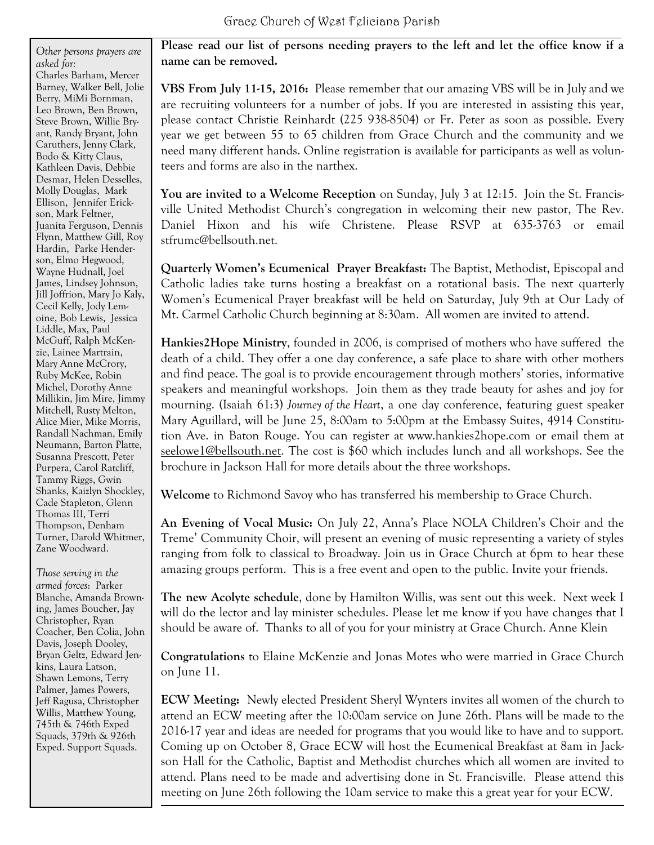*Other persons prayers are asked for:* Charles Barham, Mercer Barney, Walker Bell, Jolie Berry, MiMi Bornman, Leo Brown, Ben Brown, Steve Brown, Willie Bryant, Randy Bryant, John Caruthers, Jenny Clark, Bodo & Kitty Claus, Kathleen Davis, Debbie Desmar, Helen Desselles, Molly Douglas, Mark Ellison, Jennifer Erickson, Mark Feltner, Juanita Ferguson, Dennis Flynn, Matthew Gill, Roy Hardin, Parke Henderson, Elmo Hegwood, Wayne Hudnall, Joel James, Lindsey Johnson, Jill Joffrion, Mary Jo Kaly, Cecil Kelly, Jody Lemoine, Bob Lewis, Jessica Liddle, Max, Paul McGuff, Ralph McKenzie, Lainee Martrain, Mary Anne McCrory, Ruby McKee, Robin Michel, Dorothy Anne Millikin, Jim Mire, Jimmy Mitchell, Rusty Melton, Alice Mier, Mike Morris, Randall Nachman, Emily Neumann, Barton Platte, Susanna Prescott, Peter Purpera, Carol Ratcliff, Tammy Riggs, Gwin Shanks, Kaizlyn Shockley, Cade Stapleton, Glenn Thomas III, Terri Thompson, Denham Turner, Darold Whitmer, Zane Woodward.

*Those serving in the armed forces*: Parker Blanche, Amanda Browning, James Boucher, Jay Christopher, Ryan Coacher, Ben Colia, John Davis, Joseph Dooley, Bryan Geltz, Edward Jenkins, Laura Latson, Shawn Lemons, Terry Palmer, James Powers, Jeff Ragusa, Christopher Willis, Matthew Young, 745th & 746th Exped Squads, 379th & 926th Exped. Support Squads.

**Please read our list of persons needing prayers to the left and let the office know if a name can be removed.**

**VBS From July 11-15, 2016:** Please remember that our amazing VBS will be in July and we are recruiting volunteers for a number of jobs. If you are interested in assisting this year, please contact Christie Reinhardt (225 938-8504) or Fr. Peter as soon as possible. Every year we get between 55 to 65 children from Grace Church and the community and we need many different hands. Online registration is available for participants as well as volunteers and forms are also in the narthex.

**You are invited to a Welcome Reception** on Sunday, July 3 at 12:15. Join the St. Francisville United Methodist Church's congregation in welcoming their new pastor, The Rev. Daniel Hixon and his wife Christene. Please RSVP at 635-3763 or email stfrumc@bellsouth.net.

**Quarterly Women's Ecumenical Prayer Breakfast:** The Baptist, Methodist, Episcopal and Catholic ladies take turns hosting a breakfast on a rotational basis. The next quarterly Women's Ecumenical Prayer breakfast will be held on Saturday, July 9th at Our Lady of Mt. Carmel Catholic Church beginning at 8:30am. All women are invited to attend.

**Hankies2Hope Ministry**, founded in 2006, is comprised of mothers who have suffered the death of a child. They offer a one day conference, a safe place to share with other mothers and find peace. The goal is to provide encouragement through mothers' stories, informative speakers and meaningful workshops. Join them as they trade beauty for ashes and joy for mourning. (Isaiah 61:3) *Journey of the Heart*, a one day conference, featuring guest speaker Mary Aguillard, will be June 25, 8:00am to 5:00pm at the Embassy Suites, 4914 Constitution Ave. in Baton Rouge. You can register at www.hankies2hope.com or email them at seelowe1@bellsouth.net. The cost is \$60 which includes lunch and all workshops. See the brochure in Jackson Hall for more details about the three workshops.

**Welcome** to Richmond Savoy who has transferred his membership to Grace Church.

**An Evening of Vocal Music:** On July 22, Anna's Place NOLA Children's Choir and the Treme' Community Choir, will present an evening of music representing a variety of styles ranging from folk to classical to Broadway. Join us in Grace Church at 6pm to hear these amazing groups perform. This is a free event and open to the public. Invite your friends.

**The new Acolyte schedule**, done by Hamilton Willis, was sent out this week. Next week I will do the lector and lay minister schedules. Please let me know if you have changes that I should be aware of. Thanks to all of you for your ministry at Grace Church. Anne Klein

**Congratulations** to Elaine McKenzie and Jonas Motes who were married in Grace Church on June 11.

**ECW Meeting:** Newly elected President Sheryl Wynters invites all women of the church to attend an ECW meeting after the 10:00am service on June 26th. Plans will be made to the 2016-17 year and ideas are needed for programs that you would like to have and to support. Coming up on October 8, Grace ECW will host the Ecumenical Breakfast at 8am in Jackson Hall for the Catholic, Baptist and Methodist churches which all women are invited to attend. Plans need to be made and advertising done in St. Francisville. Please attend this meeting on June 26th following the 10am service to make this a great year for your ECW.